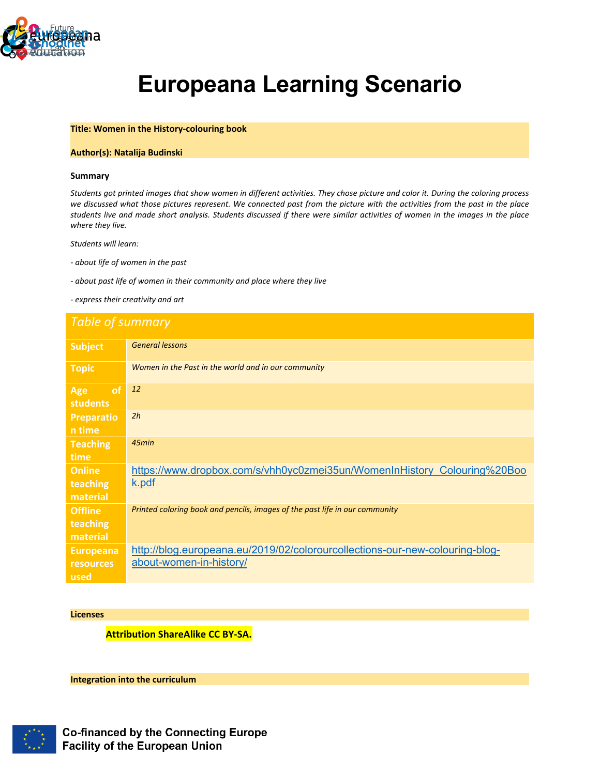

# **Europeana Learning Scenario**

# **Title: Women in the History-colouring book**

# **Author(s): Natalija Budinski**

#### **Summary**

Students got printed images that show women in different activities. They chose picture and color it. During the coloring process<br>we discussed what those pictures represent. We connected past from the picture with the acti *students live and made short analysis. Students discussed if there were similar activities of women in the images in the place where they live.* 

*Students will learn:*

*- about life of women in the past*

*- about past life of women in their community and place where they live*

*- express their creativity and art* 

# *Table of summary*

| <b>Subject</b>                               | <b>General lessons</b>                                                                                  |
|----------------------------------------------|---------------------------------------------------------------------------------------------------------|
| Topic                                        | Women in the Past in the world and in our community                                                     |
| of<br>Age<br><b>students</b>                 | <b>12</b>                                                                                               |
| <b>Preparatio</b><br>n time                  | 2h                                                                                                      |
| <b>Teaching</b><br>time                      | 45min                                                                                                   |
| <b>Online</b><br>teaching<br>material        | https://www.dropbox.com/s/vhh0yc0zmei35un/WomenInHistory Colouring%20Boo<br>k.pdf                       |
| <b>Offline</b><br>teaching<br>material       | Printed coloring book and pencils, images of the past life in our community                             |
| <b>Europeana</b><br><b>resources</b><br>used | http://blog.europeana.eu/2019/02/colorourcollections-our-new-colouring-blog-<br>about-women-in-history/ |

#### **Licenses**

**Attribution ShareAlike CC BY-SA.**

**Integration into the curriculum**

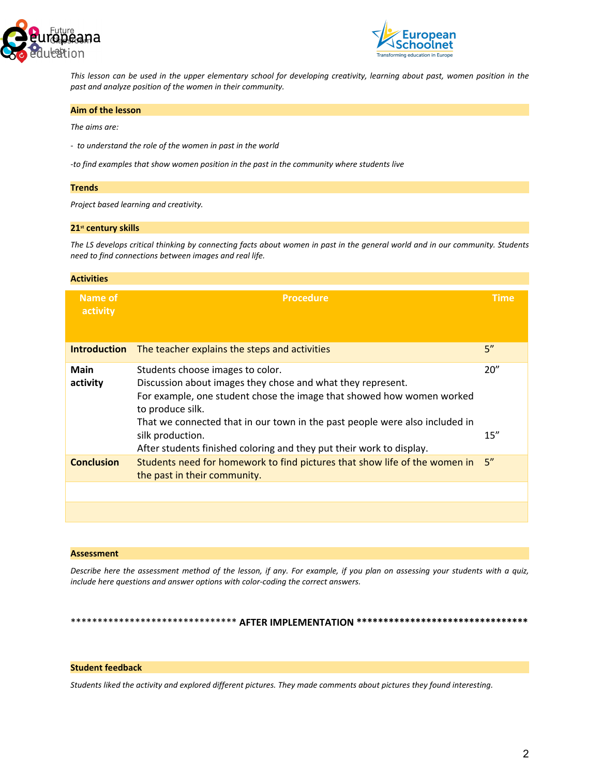



*This lesson can be used in the upper elementary school for developing creativity, learning about past, women position in the past and analyze position of the women in their community.* 

#### **Aim of the lesson**

*The aims are:*

*- to understand the role of the women in past in the world*

*-to find examples that show women position in the past in the community where students live*

#### **Trends**

*Project based learning and creativity.*

#### **21st century skills**

*The LS develops critical thinking by connecting facts about women in past in the general world and in our community. Students need to find connections between images and real life.* 

| Name of<br><b>Procedure</b><br><b>Time</b><br>activity<br>5''<br><b>Introduction</b><br>The teacher explains the steps and activities<br>20"<br><b>Main</b><br>Students choose images to color.<br>Discussion about images they chose and what they represent.<br>activity<br>For example, one student chose the image that showed how women worked<br>to produce silk.<br>That we connected that in our town in the past people were also included in<br>15''<br>silk production.<br>After students finished coloring and they put their work to display.<br>5''<br><b>Conclusion</b><br>Students need for homework to find pictures that show life of the women in<br>the past in their community. | <b>Activities</b> |  |
|------------------------------------------------------------------------------------------------------------------------------------------------------------------------------------------------------------------------------------------------------------------------------------------------------------------------------------------------------------------------------------------------------------------------------------------------------------------------------------------------------------------------------------------------------------------------------------------------------------------------------------------------------------------------------------------------------|-------------------|--|
|                                                                                                                                                                                                                                                                                                                                                                                                                                                                                                                                                                                                                                                                                                      |                   |  |
|                                                                                                                                                                                                                                                                                                                                                                                                                                                                                                                                                                                                                                                                                                      |                   |  |
|                                                                                                                                                                                                                                                                                                                                                                                                                                                                                                                                                                                                                                                                                                      |                   |  |
|                                                                                                                                                                                                                                                                                                                                                                                                                                                                                                                                                                                                                                                                                                      |                   |  |
|                                                                                                                                                                                                                                                                                                                                                                                                                                                                                                                                                                                                                                                                                                      |                   |  |

#### **Assessment**

*Describe here the assessment method of the lesson, if any. For example, if you plan on assessing your students with a quiz, include here questions and answer options with color-coding the correct answers.*

\*\*\*\*\*\*\*\*\*\*\*\*\*\*\*\*\*\*\*\*\*\*\*\*\*\*\*\*\*\*\* **AFTER IMPLEMENTATION \*\*\*\*\*\*\*\*\*\*\*\*\*\*\*\*\*\*\*\*\*\*\*\*\*\*\*\*\*\*\*\***

# **Student feedback**

*Students liked the activity and explored different pictures. They made comments about pictures they found interesting.*